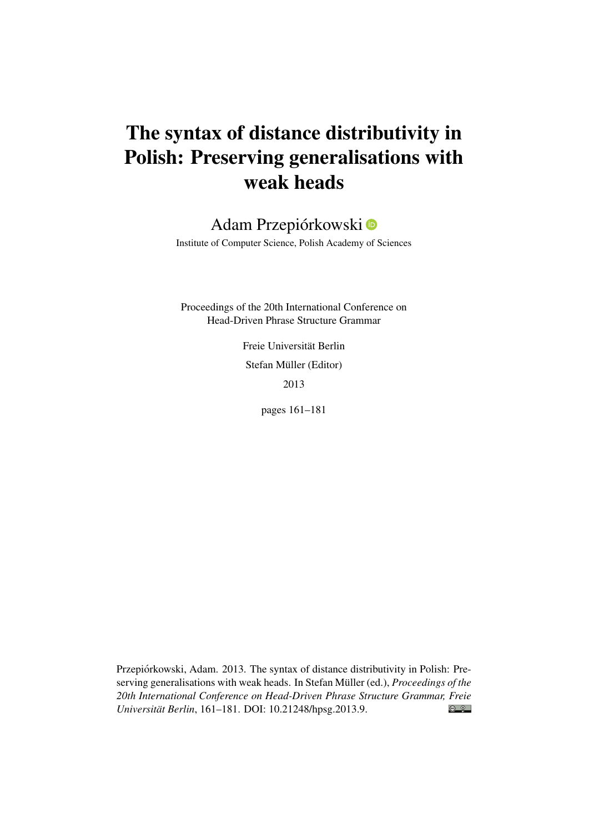# The syntax of distance distributivity in Polish: Preserving generalisations with weak heads

## Adam Przepiórkowski

Institute of Computer Science, Polish Academy of Sciences

Proceedings of the 20th International Conference on Head-Driven Phrase Structure Grammar

> Freie Universität Berlin Stefan Müller (Editor) 2013

> > pages 161–181

Przepiórkowski, Adam. 2013. The syntax of distance distributivity in Polish: Preserving generalisations with weak heads. In Stefan Müller (ed.), *Proceedings of the 20th International Conference on Head-Driven Phrase Structure Grammar, Freie*  $\odot$   $\odot$ *Universität Berlin*, 161–181. DOI: [10.21248/hpsg.2013.9.](http://doi.org/10.21248/hpsg.2013.9)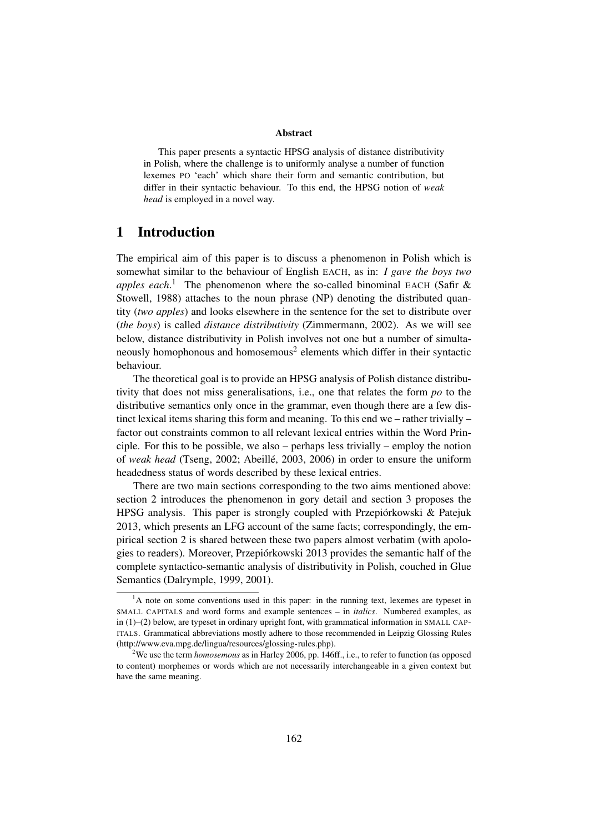#### Abstract

This paper presents a syntactic HPSG analysis of distance distributivity in Polish, where the challenge is to uniformly analyse a number of function lexemes PO 'each' which share their form and semantic contribution, but differ in their syntactic behaviour. To this end, the HPSG notion of *weak head* is employed in a novel way.

### 1 Introduction

The empirical aim of this paper is to discuss a phenomenon in Polish which is somewhat similar to the behaviour of English EACH, as in: *I gave the boys two apples each*. <sup>1</sup> The phenomenon where the so-called binominal EACH (Safir & Stowell, 1988) attaches to the noun phrase (NP) denoting the distributed quantity (*two apples*) and looks elsewhere in the sentence for the set to distribute over (*the boys*) is called *distance distributivity* (Zimmermann, 2002). As we will see below, distance distributivity in Polish involves not one but a number of simultaneously homophonous and homosemous<sup>2</sup> elements which differ in their syntactic behaviour.

The theoretical goal is to provide an HPSG analysis of Polish distance distributivity that does not miss generalisations, i.e., one that relates the form *po* to the distributive semantics only once in the grammar, even though there are a few distinct lexical items sharing this form and meaning. To this end we – rather trivially – factor out constraints common to all relevant lexical entries within the Word Principle. For this to be possible, we also – perhaps less trivially – employ the notion of *weak head* (Tseng, 2002; Abeillé, 2003, 2006) in order to ensure the uniform headedness status of words described by these lexical entries.

There are two main sections corresponding to the two aims mentioned above: section 2 introduces the phenomenon in gory detail and section 3 proposes the HPSG analysis. This paper is strongly coupled with Przepiórkowski & Patejuk 2013, which presents an LFG account of the same facts; correspondingly, the empirical section 2 is shared between these two papers almost verbatim (with apologies to readers). Moreover, Przepiórkowski 2013 provides the semantic half of the complete syntactico-semantic analysis of distributivity in Polish, couched in Glue Semantics (Dalrymple, 1999, 2001).

 $<sup>1</sup>A$  note on some conventions used in this paper: in the running text, lexemes are typeset in</sup> SMALL CAPITALS and word forms and example sentences – in *italics*. Numbered examples, as in (1)–(2) below, are typeset in ordinary upright font, with grammatical information in SMALL CAP-ITALS. Grammatical abbreviations mostly adhere to those recommended in Leipzig Glossing Rules (http://www.eva.mpg.de/lingua/resources/glossing-rules.php).

<sup>2</sup>We use the term *homosemous* as in Harley 2006, pp. 146ff., i.e., to refer to function (as opposed to content) morphemes or words which are not necessarily interchangeable in a given context but have the same meaning.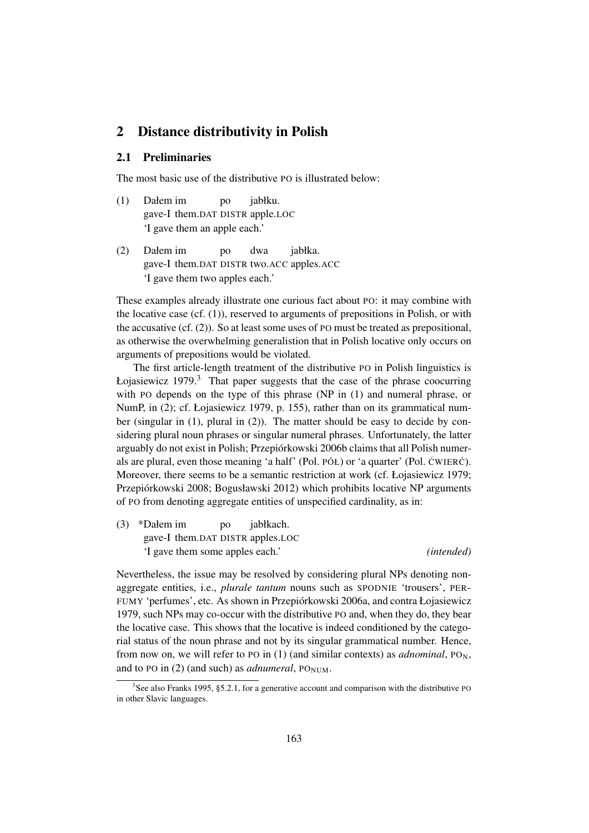### 2 Distance distributivity in Polish

### 2.1 Preliminaries

The most basic use of the distributive PO is illustrated below:

- (1) Dałem im gave-I them.DAT DISTR apple.LOC po jabłku. 'I gave them an apple each.'
- (2) Dałem im gave-I them.DAT DISTR two.ACC apples.ACC po dwa jabłka. 'I gave them two apples each.'

These examples already illustrate one curious fact about PO: it may combine with the locative case (cf. (1)), reserved to arguments of prepositions in Polish, or with the accusative (cf. (2)). So at least some uses of PO must be treated as prepositional, as otherwise the overwhelming generalistion that in Polish locative only occurs on arguments of prepositions would be violated.

The first article-length treatment of the distributive PO in Polish linguistics is Łojasiewicz  $1979<sup>3</sup>$  That paper suggests that the case of the phrase coocurring with PO depends on the type of this phrase (NP in (1) and numeral phrase, or NumP, in (2); cf. Łojasiewicz 1979, p. 155), rather than on its grammatical number (singular in (1), plural in (2)). The matter should be easy to decide by considering plural noun phrases or singular numeral phrases. Unfortunately, the latter arguably do not exist in Polish; Przepiórkowski 2006b claims that all Polish numerals are plural, even those meaning 'a half' (Pol.  $P(6L)$  or 'a quarter' (Pol.  $\acute{c}$ WIER $\acute{c}$ ). Moreover, there seems to be a semantic restriction at work (cf. Łojasiewicz 1979; Przepiórkowski 2008; Bogusławski 2012) which prohibits locative NP arguments of PO from denoting aggregate entities of unspecified cardinality, as in:

(3) \*Dałem im gave-I them.DAT DISTR apples.LOC po jabłkach. 'I gave them some apples each.' *(intended)*

Nevertheless, the issue may be resolved by considering plural NPs denoting nonaggregate entities, i.e., *plurale tantum* nouns such as SPODNIE 'trousers', PER-FUMY 'perfumes', etc. As shown in Przepiórkowski 2006a, and contra Łojasiewicz 1979, such NPs may co-occur with the distributive PO and, when they do, they bear the locative case. This shows that the locative is indeed conditioned by the categorial status of the noun phrase and not by its singular grammatical number. Hence, from now on, we will refer to PO in  $(1)$  (and similar contexts) as *adnominal*, PO<sub>N</sub>, and to PO in  $(2)$  (and such) as *adnumeral*, PO<sub>NUM</sub>.

<sup>&</sup>lt;sup>3</sup>See also Franks 1995, §5.2.1, for a generative account and comparison with the distributive PO in other Slavic languages.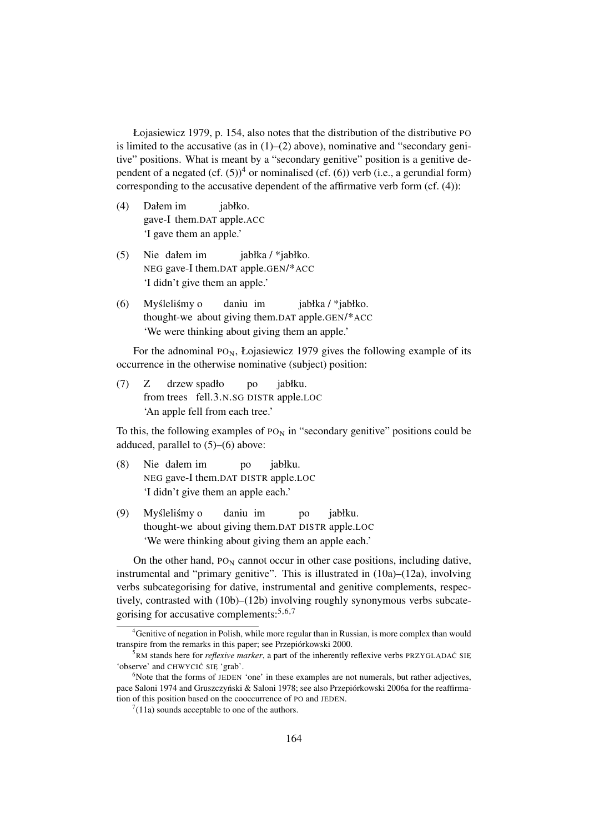Łojasiewicz 1979, p. 154, also notes that the distribution of the distributive PO is limited to the accusative (as in  $(1)$ – $(2)$  above), nominative and "secondary genitive" positions. What is meant by a "secondary genitive" position is a genitive dependent of a negated  $(cf. (5))^4$  or nominalised (cf. (6)) verb (i.e., a gerundial form) corresponding to the accusative dependent of the affirmative verb form (cf. (4)):

- (4) Dałem im gave-I them.DAT apple.ACC jabłko. 'I gave them an apple.'
- (5) Nie dałem im NEG gave-I them.DAT apple.GEN/\*ACC jabłka / \*jabłko. 'I didn't give them an apple.'
- (6) Myśleliśmy o thought-we about giving them.DAT apple.GEN/\*ACC daniu im jabłka / \*jabłko. 'We were thinking about giving them an apple.'

For the adnominal  $PO_N$ , Łojasiewicz 1979 gives the following example of its occurrence in the otherwise nominative (subject) position:

 $(7)$  Z from trees fell.3.N.SG DISTR apple.LOC drzew spadło po jabłku. 'An apple fell from each tree.'

To this, the following examples of  $P_{N}$  in "secondary genitive" positions could be adduced, parallel to (5)–(6) above:

- (8) Nie dałem im NEG gave-I them.DAT DISTR apple.LOC po jabłku. 'I didn't give them an apple each.'
- (9) Myśleliśmy o thought-we about giving them.DAT DISTR apple.LOC daniu im po jabłku. 'We were thinking about giving them an apple each.'

On the other hand,  $P_{\text{ON}}$  cannot occur in other case positions, including dative, instrumental and "primary genitive". This is illustrated in (10a)–(12a), involving verbs subcategorising for dative, instrumental and genitive complements, respectively, contrasted with (10b)–(12b) involving roughly synonymous verbs subcategorising for accusative complements:5,6,7

<sup>&</sup>lt;sup>4</sup>Genitive of negation in Polish, while more regular than in Russian, is more complex than would transpire from the remarks in this paper; see Przepiórkowski 2000.

<sup>&</sup>lt;sup>5</sup>RM stands here for *reflexive marker*, a part of the inherently reflexive verbs PRZYGLADAC SIE 'observe' and CHWYCIĆ SIĘ 'grab'.

 $6N$ ote that the forms of JEDEN 'one' in these examples are not numerals, but rather adjectives, pace Saloni 1974 and Gruszczyński & Saloni 1978; see also Przepiórkowski 2006a for the reaffirmation of this position based on the cooccurrence of PO and JEDEN.

 $7(11a)$  sounds acceptable to one of the authors.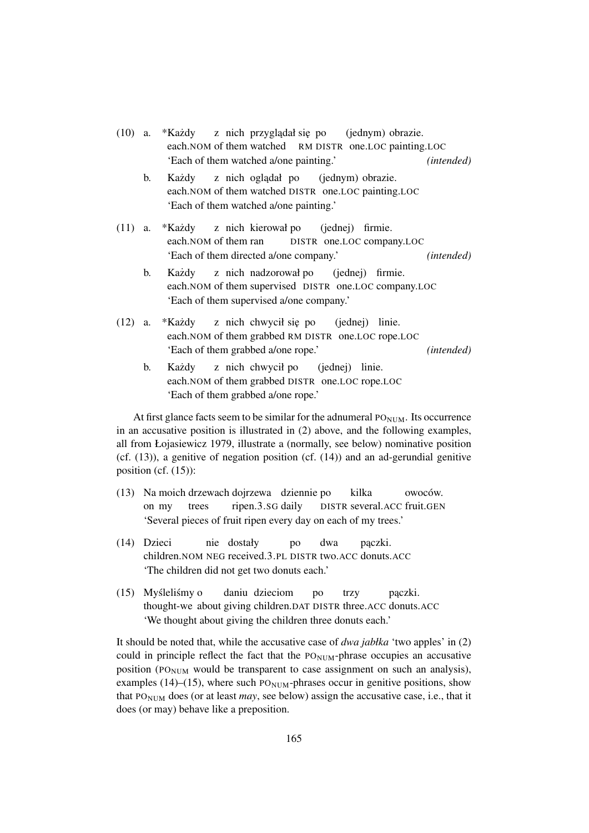|                | (10) a. *Każdy z nich przyglądał się po (jednym) obrazie.<br>each. NOM of them watched RM DISTR one. LOC painting. LOC                                                   |
|----------------|--------------------------------------------------------------------------------------------------------------------------------------------------------------------------|
|                | 'Each of them watched a/one painting.'<br>( <i>intended</i> )                                                                                                            |
| $\mathbf{b}$ . | Każdy z nich oglądał po (jednym) obrazie.<br>each.NOM of them watched DISTR one.LOC painting.LOC<br>'Each of them watched a/one painting.'                               |
|                | (11) a. *Każdy z nich kierował po (jednej) firmie.<br>each. NOM of them ran DISTR one. LOC company. LOC<br>'Each of them directed a/one company.'<br>( <i>intended</i> ) |
| b.             | Każdy z nich nadzorował po (jednej) firmie.<br>each.NOM of them supervised DISTR one.LOC company.LOC<br>'Each of them supervised a/one company.'                         |
|                | (12) a. *Każdy z nich chwycił się po (jednej) linie.<br>each. NOM of them grabbed RM DISTR one. LOC rope. LOC<br>'Each of them grabbed a/one rope.'<br>(intended)        |
| b.             | Każdy z nich chwycił po (jednej) linie.<br>each.NOM of them grabbed DISTR one.LOC rope.LOC                                                                               |

'Each of them grabbed a/one rope.'

At first glance facts seem to be similar for the adnumeral  $PO<sub>NUM</sub>$ . Its occurrence in an accusative position is illustrated in (2) above, and the following examples, all from Łojasiewicz 1979, illustrate a (normally, see below) nominative position  $(cf. (13))$ , a genitive of negation position  $(cf. (14))$  and an ad-gerundial genitive position (cf. (15)):

- (13) Na moich drzewach dojrzewa dziennie po on my trees ripen.3.SG daily DISTR several.ACC fruit.GEN kilka owoców. 'Several pieces of fruit ripen every day on each of my trees.'
- (14) Dzieci children.NOM NEG received.3.PL DISTR two.ACC donuts.ACC nie dostały po dwa pączki. 'The children did not get two donuts each.'
- (15) Myśleliśmy o thought-we about giving children.DAT DISTR three.ACC donuts.ACC daniu dzieciom po trzy pączki. 'We thought about giving the children three donuts each.'

It should be noted that, while the accusative case of *dwa jabłka* 'two apples' in (2) could in principle reflect the fact that the  $PO_{NUM}$ -phrase occupies an accusative position ( $PO<sub>NIM</sub>$  would be transparent to case assignment on such an analysis), examples (14)–(15), where such  $P_{\text{O}_{\text{NUM}}}$ -phrases occur in genitive positions, show that  $PO_{NUM}$  does (or at least *may*, see below) assign the accusative case, i.e., that it does (or may) behave like a preposition.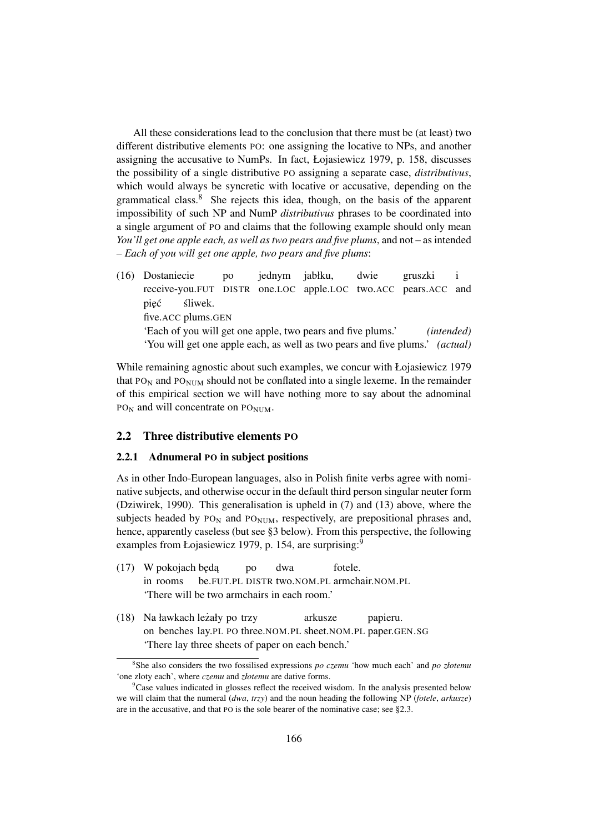All these considerations lead to the conclusion that there must be (at least) two different distributive elements PO: one assigning the locative to NPs, and another assigning the accusative to NumPs. In fact, Łojasiewicz 1979, p. 158, discusses the possibility of a single distributive PO assigning a separate case, *distributivus*, which would always be syncretic with locative or accusative, depending on the grammatical class. $8$  She rejects this idea, though, on the basis of the apparent impossibility of such NP and NumP *distributivus* phrases to be coordinated into a single argument of PO and claims that the following example should only mean *You'll get one apple each, as well as two pears and five plums*, and not – as intended – *Each of you will get one apple, two pears and five plums*:

(16) Dostaniecie receive-you.FUT DISTR one.LOC apple.LOC two.ACC pears.ACC and po jednym jabłku, dwie gruszki i pięć five.ACC plums.GEN sliwek. ´ 'Each of you will get one apple, two pears and five plums.' *(intended)* 'You will get one apple each, as well as two pears and five plums.' *(actual)*

While remaining agnostic about such examples, we concur with Łojasiewicz 1979 that  $PO_N$  and  $PO_{NUM}$  should not be conflated into a single lexeme. In the remainder of this empirical section we will have nothing more to say about the adnominal PO<sub>N</sub> and will concentrate on PO<sub>NUM</sub>.

#### 2.2 Three distributive elements PO

#### 2.2.1 Adnumeral PO in subject positions

As in other Indo-European languages, also in Polish finite verbs agree with nominative subjects, and otherwise occur in the default third person singular neuter form (Dziwirek, 1990). This generalisation is upheld in (7) and (13) above, where the subjects headed by  $PO_N$  and  $PO_{NUM}$ , respectively, are prepositional phrases and, hence, apparently caseless (but see §3 below). From this perspective, the following examples from Łojasiewicz 1979, p. 154, are surprising:<sup>9</sup>

- (17) W pokojach będą in rooms be.FUT.PL DISTR two.NOM.PL armchair.NOM.PL po dwa fotele. 'There will be two armchairs in each room.'
- (18) Na ławkach leżały po trzy on benches lay.PL PO three.NOM.PL sheet.NOM.PL paper.GEN.SG arkusze papieru. 'There lay three sheets of paper on each bench.'

<sup>8</sup> She also considers the two fossilised expressions *po czemu* 'how much each' and *po złotemu* 'one zloty each', where *czemu* and *złotemu* are dative forms.

 ${}^{9}$ Case values indicated in glosses reflect the received wisdom. In the analysis presented below we will claim that the numeral (*dwa*, *trzy*) and the noun heading the following NP (*fotele*, *arkusze*) are in the accusative, and that PO is the sole bearer of the nominative case; see §2.3.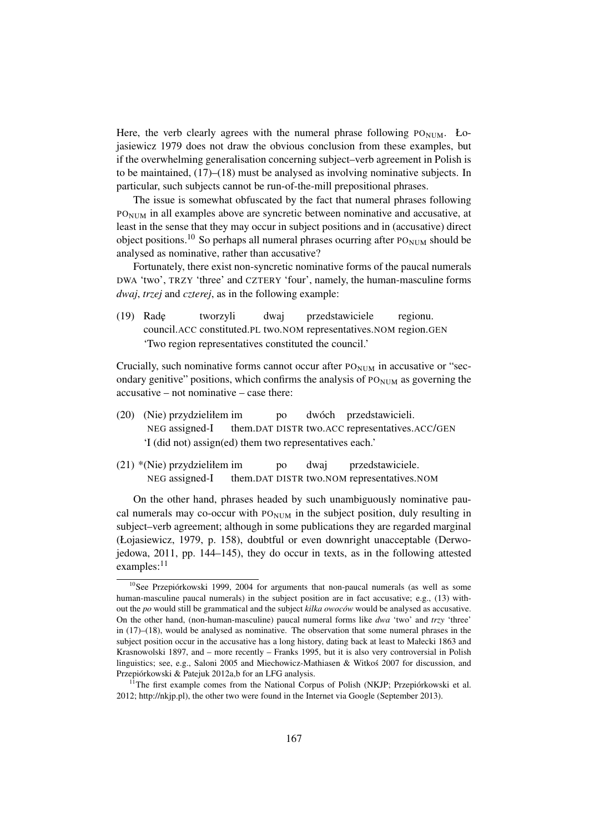Here, the verb clearly agrees with the numeral phrase following  $PO_{\text{NUM}}$ . Łojasiewicz 1979 does not draw the obvious conclusion from these examples, but if the overwhelming generalisation concerning subject–verb agreement in Polish is to be maintained, (17)–(18) must be analysed as involving nominative subjects. In particular, such subjects cannot be run-of-the-mill prepositional phrases.

The issue is somewhat obfuscated by the fact that numeral phrases following PONUM in all examples above are syncretic between nominative and accusative, at least in the sense that they may occur in subject positions and in (accusative) direct object positions.<sup>10</sup> So perhaps all numeral phrases ocurring after  $PO_{NUM}$  should be analysed as nominative, rather than accusative?

Fortunately, there exist non-syncretic nominative forms of the paucal numerals DWA 'two', TRZY 'three' and CZTERY 'four', namely, the human-masculine forms *dwaj*, *trzej* and *czterej*, as in the following example:

(19) Rad˛e council.ACC constituted.PL two.NOM representatives.NOM region.GEN tworzyli dwaj przedstawiciele regionu. 'Two region representatives constituted the council.'

Crucially, such nominative forms cannot occur after  $PO_{NUM}$  in accusative or "secondary genitive" positions, which confirms the analysis of  $PO<sub>NUM</sub>$  as governing the accusative – not nominative – case there:

- (20) (Nie) przydzieliłem im NEG assigned-I them.DAT DISTR two.ACC representatives.ACC/GEN po dwóch przedstawicieli. 'I (did not) assign(ed) them two representatives each.'
- (21) \*(Nie) przydzieliłem im NEG assigned-I them.DAT DISTR two.NOM representatives.NOM po dwaj przedstawiciele.

On the other hand, phrases headed by such unambiguously nominative paucal numerals may co-occur with  $PO_{NUM}$  in the subject position, duly resulting in subject–verb agreement; although in some publications they are regarded marginal (Łojasiewicz, 1979, p. 158), doubtful or even downright unacceptable (Derwojedowa, 2011, pp. 144–145), they do occur in texts, as in the following attested examples:<sup>11</sup>

<sup>&</sup>lt;sup>10</sup>See Przepiórkowski 1999, 2004 for arguments that non-paucal numerals (as well as some human-masculine paucal numerals) in the subject position are in fact accusative; e.g., (13) without the *po* would still be grammatical and the subject *kilka owoców* would be analysed as accusative. On the other hand, (non-human-masculine) paucal numeral forms like *dwa* 'two' and *trzy* 'three' in (17)–(18), would be analysed as nominative. The observation that some numeral phrases in the subject position occur in the accusative has a long history, dating back at least to Małecki 1863 and Krasnowolski 1897, and – more recently – Franks 1995, but it is also very controversial in Polish linguistics; see, e.g., Saloni 2005 and Miechowicz-Mathiasen & Witkos 2007 for discussion, and ´ Przepiórkowski & Patejuk 2012a,b for an LFG analysis.

<sup>&</sup>lt;sup>11</sup>The first example comes from the National Corpus of Polish (NKJP; Przepiórkowski et al. 2012; http://nkjp.pl), the other two were found in the Internet via Google (September 2013).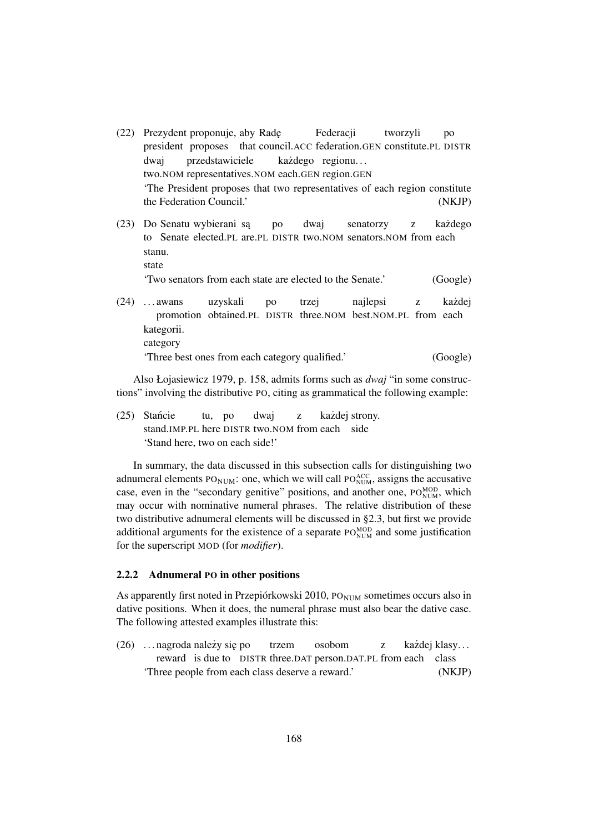- (22) Prezydent proponuje, aby Radę president proposes that council.ACC federation.GEN constitute.PL DISTR Federacji tworzyli po dwaj two.NOM representatives.NOM each.GEN region.GEN przedstawiciele każdego regionu... 'The President proposes that two representatives of each region constitute the Federation Council.' (NKJP)
- (23) Do Senatu wybierani są to Senate elected.PL are.PL DISTR two.NOM senators.NOM from each po dwaj senatorzy z każdego stanu. state 'Two senators from each state are elected to the Senate.' (Google)
- $(24)$  ... awans promotion obtained.PL DISTR three.NOM best.NOM.PL from each uzyskali po trzej najlepsi z każdej kategorii. category 'Three best ones from each category qualified.' (Google)

Also Łojasiewicz 1979, p. 158, admits forms such as *dwaj* "in some constructions" involving the distributive PO, citing as grammatical the following example:

(25) Stancie ´ stand.IMP.PL here DISTR two.NOM from each side tu, po dwaj z każdej strony. 'Stand here, two on each side!'

In summary, the data discussed in this subsection calls for distinguishing two adnumeral elements  $PO_{NUM}$ : one, which we will call  $PO_{NUM}^{ACC}$ , assigns the accusative case, even in the "secondary genitive" positions, and another one, PO<sub>NUM</sub>, which may occur with nominative numeral phrases. The relative distribution of these two distributive adnumeral elements will be discussed in §2.3, but first we provide additional arguments for the existence of a separate  $PO_{NUM}^{MOD}$  and some justification for the superscript MOD (for *modifier*).

#### 2.2.2 Adnumeral PO in other positions

As apparently first noted in Przepiórkowski 2010, PO $_{\text{NUM}}$  sometimes occurs also in dative positions. When it does, the numeral phrase must also bear the dative case. The following attested examples illustrate this:

(26) ... nagroda należy się po reward is due to DISTR three. DAT person. DAT. PL from each class trzem osobom z każdej klasy... 'Three people from each class deserve a reward.' (NKJP)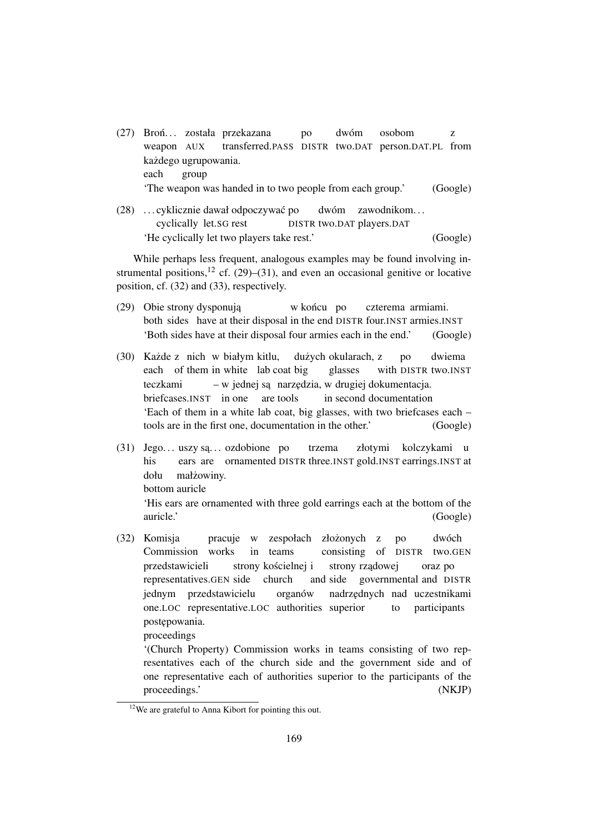- (27) Broń... została przekazana weapon AUX transferred.PASS DISTR two.DAT person.DAT.PL from po dwóm osobom z każdego ugrupowania. each group 'The weapon was handed in to two people from each group.' (Google)
- (28) . . . cyklicznie dawał odpoczywac´ po cyclically let.SG rest DISTR two.DAT players.DAT dwóm zawodnikom. . . 'He cyclically let two players take rest.' (Google)

While perhaps less frequent, analogous examples may be found involving instrumental positions,<sup>12</sup> cf. (29)–(31), and even an occasional genitive or locative position, cf. (32) and (33), respectively.

- (29) Obie strony dysponują both sides have at their disposal in the end DISTR four.INST armies.INST w końcu po czterema armiami. 'Both sides have at their disposal four armies each in the end.' (Google)
- (30) Każde z nich w białym kitlu, each of them in white lab coat big dużych okularach, z glasses with DISTR two.INST po dwiema teczkami briefcases.INST in one are tools – w jednej są narzędzia, w drugiej dokumentacja. in second documentation 'Each of them in a white lab coat, big glasses, with two briefcases each – tools are in the first one, documentation in the other.' (Google)
- $(31)$  Jego... uszy są... ozdobione po his ears are ornamented DISTR three.INST gold.INST earrings.INST at trzema złotymi kolczykami u dołu bottom auricle małżowiny. 'His ears are ornamented with three gold earrings each at the bottom of the auricle.' (Google)
- (32) Komisja Commission works pracuje w in teams zespołach złożonych z consisting of DISTR two.GEN po dwóch przedstawicieli representatives.GEN side church strony kościelnej i and side governmental and DISTR strony rządowej oraz po jednym przedstawicielu one.LOC representative.LOC authorities superior organów nadrz˛ednych nad uczestnikami to participants postepowania.

proceedings

'(Church Property) Commission works in teams consisting of two representatives each of the church side and the government side and of one representative each of authorities superior to the participants of the proceedings.' (NKJP)

 $12$ We are grateful to Anna Kibort for pointing this out.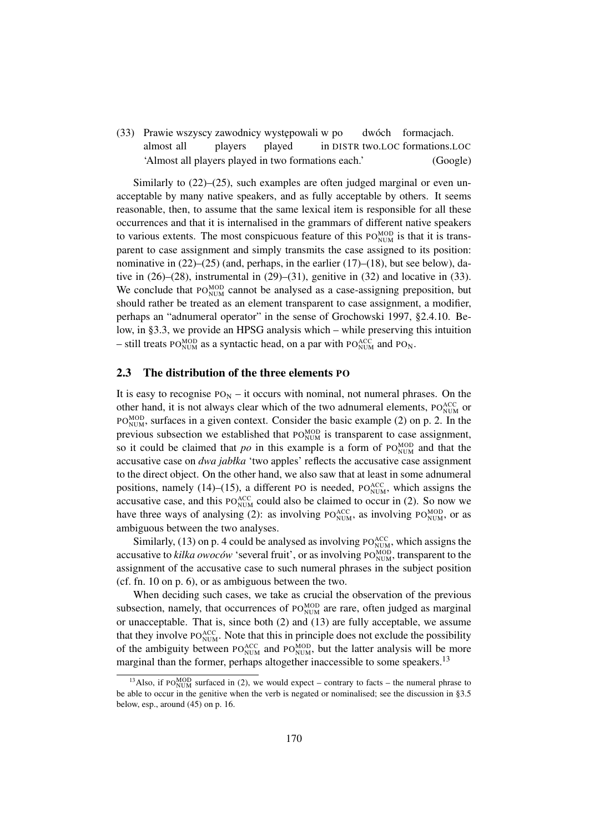(33) Prawie wszyscy zawodnicy występowali w po almost all players played in DISTR two.LOC formations.LOC dwóch formacjach. 'Almost all players played in two formations each.' (Google)

Similarly to  $(22)$ – $(25)$ , such examples are often judged marginal or even unacceptable by many native speakers, and as fully acceptable by others. It seems reasonable, then, to assume that the same lexical item is responsible for all these occurrences and that it is internalised in the grammars of different native speakers to various extents. The most conspicuous feature of this  $PO_{NUM}^{MOD}$  is that it is transparent to case assignment and simply transmits the case assigned to its position: nominative in  $(22)$ – $(25)$  (and, perhaps, in the earlier  $(17)$ – $(18)$ , but see below), dative in (26)–(28), instrumental in (29)–(31), genitive in (32) and locative in (33). We conclude that  $PO_{NUM}^{MOD}$  cannot be analysed as a case-assigning preposition, but should rather be treated as an element transparent to case assignment, a modifier, perhaps an "adnumeral operator" in the sense of Grochowski 1997, §2.4.10. Below, in §3.3, we provide an HPSG analysis which – while preserving this intuition – still treats PO<sub>NUM</sub> as a syntactic head, on a par with PO<sub>NUM</sub> and PO<sub>N</sub>.

### 2.3 The distribution of the three elements PO

It is easy to recognise  $PO_N - it$  occurs with nominal, not numeral phrases. On the other hand, it is not always clear which of the two adnumeral elements,  $PO_{NUM}^{ACC}$  or  $PO_{NUM}^{MOD}$ , surfaces in a given context. Consider the basic example (2) on p. 2. In the previous subsection we established that  $PO_{NUM}^{MOD}$  is transparent to case assignment, so it could be claimed that  $po$  in this example is a form of  $PO_{NUM}^{MOD}$  and that the accusative case on *dwa jabłka* 'two apples' reflects the accusative case assignment to the direct object. On the other hand, we also saw that at least in some adnumeral positions, namely (14)–(15), a different PO is needed,  $PO_{NUM}^{ACC}$ , which assigns the accusative case, and this  $PO_{NUM}^{ACC}$  could also be claimed to occur in (2). So now we have three ways of analysing (2): as involving  $PO_{NUM}^{ACC}$ , as involving  $PO_{NUM}^{MOD}$ , or as ambiguous between the two analyses.

Similarly, (13) on p. 4 could be analysed as involving  $PO_{NUM}^{ACC}$ , which assigns the accusative to *kilka owoców* 'several fruit', or as involving PO<sub>NUM</sub>, transparent to the assignment of the accusative case to such numeral phrases in the subject position (cf. fn. 10 on p. 6), or as ambiguous between the two.

When deciding such cases, we take as crucial the observation of the previous subsection, namely, that occurrences of  $PO_{NUM}^{MOD}$  are rare, often judged as marginal or unacceptable. That is, since both (2) and (13) are fully acceptable, we assume that they involve  $PO_{NUM}^{ACC}$ . Note that this in principle does not exclude the possibility of the ambiguity between  $PO_{NUM}^{ACC}$  and  $PO_{NUM}^{MOD}$ , but the latter analysis will be more marginal than the former, perhaps altogether inaccessible to some speakers.<sup>13</sup>

<sup>&</sup>lt;sup>13</sup>Also, if PO<sub>NUM</sub> surfaced in (2), we would expect – contrary to facts – the numeral phrase to be able to occur in the genitive when the verb is negated or nominalised; see the discussion in §3.5 below, esp., around (45) on p. 16.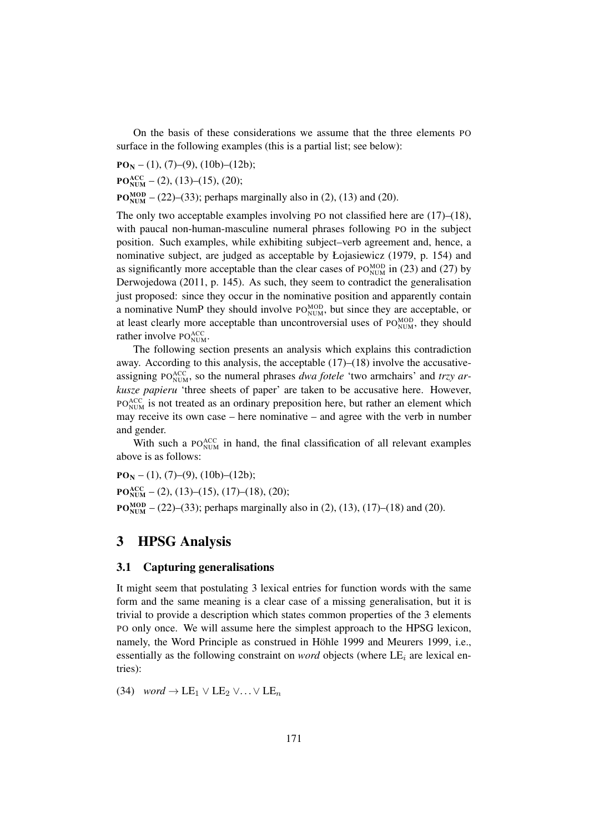On the basis of these considerations we assume that the three elements PO surface in the following examples (this is a partial list; see below):

 $PO_N - (1), (7) - (9), (10b) - (12b);$ 

 $PO_{NUM}^{ACC}$  – (2), (13)–(15), (20);

 $PO_{NUM}^{MOD}$  – (22)–(33); perhaps marginally also in (2), (13) and (20).

The only two acceptable examples involving PO not classified here are (17)–(18), with paucal non-human-masculine numeral phrases following PO in the subject position. Such examples, while exhibiting subject–verb agreement and, hence, a nominative subject, are judged as acceptable by Łojasiewicz (1979, p. 154) and as significantly more acceptable than the clear cases of  $PO_{NUM}^{MOD}$  in (23) and (27) by Derwojedowa (2011, p. 145). As such, they seem to contradict the generalisation just proposed: since they occur in the nominative position and apparently contain a nominative NumP they should involve  $PO_{NUM}^{MOD}$ , but since they are acceptable, or at least clearly more acceptable than uncontroversial uses of  $PO_{NUM}^{MOD}$ , they should rather involve  $PO_{NUM}^{ACC}$ .

The following section presents an analysis which explains this contradiction away. According to this analysis, the acceptable  $(17)$ – $(18)$  involve the accusativeassigning PO<sub>NUM</sub>, so the numeral phrases *dwa fotele* 'two armchairs' and *trzy arkusze papieru* 'three sheets of paper' are taken to be accusative here. However, PO<sub>NUM</sub> is not treated as an ordinary preposition here, but rather an element which may receive its own case – here nominative – and agree with the verb in number and gender.

With such a  $PO_{NUM}^{ACC}$  in hand, the final classification of all relevant examples above is as follows:

 $PO_N - (1), (7)$ – $(9), (10b)$ – $(12b)$ ;  $PO_{NUM}^{ACC}$  – (2), (13)–(15), (17)–(18), (20);  $PO_{NUM}^{MOD}$  – (22)–(33); perhaps marginally also in (2), (13), (17)–(18) and (20).

### 3 HPSG Analysis

### 3.1 Capturing generalisations

It might seem that postulating 3 lexical entries for function words with the same form and the same meaning is a clear case of a missing generalisation, but it is trivial to provide a description which states common properties of the 3 elements PO only once. We will assume here the simplest approach to the HPSG lexicon, namely, the Word Principle as construed in Höhle 1999 and Meurers 1999, i.e., essentially as the following constraint on *word* objects (where  $LE<sub>i</sub>$  are lexical entries):

(34) *word*  $\rightarrow$  LE<sub>1</sub>  $\vee$  LE<sub>2</sub>  $\vee \dots \vee$  LE<sub>n</sub>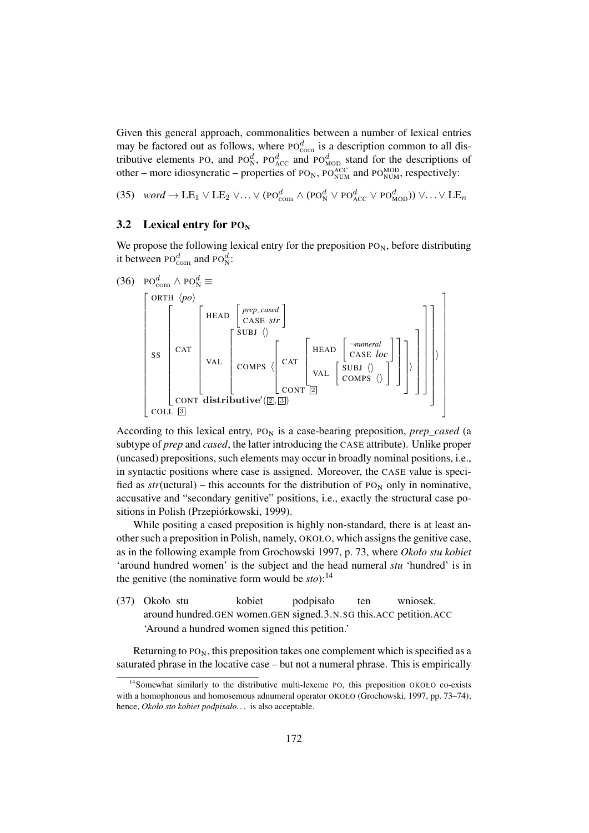Given this general approach, commonalities between a number of lexical entries may be factored out as follows, where  $P O_{com}^d$  is a description common to all distributive elements PO, and PO $_{N}^{d}$ , PO $_{ACC}^{d}$  and PO $_{MOD}^{d}$  stand for the descriptions of other – more idiosyncratic – properties of  $PO_N$ ,  $PO_{NUM}^{ACC}$  and  $PO_{NUM}^{MOD}$ , respectively:

(35) *word*  $\rightarrow$  LE<sub>1</sub>  $\vee$  LE<sub>2</sub>  $\vee \ldots \vee$  (PO<sub>com</sub>  $\wedge$  (PO<sub>N</sub><sup>d</sup>  $\vee$  PO<sub>ACC</sub>  $\vee$  PO<sub>MOD</sub>))  $\vee \ldots \vee$  LE<sub>n</sub>

#### 3.2 Lexical entry for  $PO_N$

We propose the following lexical entry for the preposition  $P_{N}$ , before distributing it between  $\text{PO}_{\text{com}}^d$  and  $\text{PO}_{\text{N}}^d$ :

(36) 
$$
PO_{com}^{d} \wedge PO_{N}^{d} \equiv
$$
  
\n
$$
\begin{bmatrix}\nORTH & \langle po \rangle \\
\downarrow & \uparrow \\
\text{SIS} & \text{CAT} \\
\text{SIS} & \text{CAT} \\
\text{VAL} & \text{COMPS} & \text{CAT} \\
\text{COMPS} & \text{CAT} & \text{VAL} \\
\text{COMPS} & \text{COT} & \text{COT} \\
\text{COL} & \text{S} & \text{COT}\n\end{bmatrix}
$$
\n(36)  $PO_{com}^{d} \wedge \text{PO}_{N}^{d} \equiv$ 

According to this lexical entry,  $P_{N}$  is a case-bearing preposition, *prep\_cased* (a subtype of *prep* and *cased*, the latter introducing the CASE attribute). Unlike proper (uncased) prepositions, such elements may occur in broadly nominal positions, i.e., in syntactic positions where case is assigned. Moreover, the CASE value is specified as  $str(uctural)$  – this accounts for the distribution of PO<sub>N</sub> only in nominative, accusative and "secondary genitive" positions, i.e., exactly the structural case positions in Polish (Przepiórkowski, 1999).

While positing a cased preposition is highly non-standard, there is at least another such a preposition in Polish, namely, OKOŁO, which assigns the genitive case, as in the following example from Grochowski 1997, p. 73, where *Około stu kobiet* 'around hundred women' is the subject and the head numeral *stu* 'hundred' is in the genitive (the nominative form would be  $sto$ ):<sup>14</sup>

(37) Około stu around hundred.GEN women.GEN signed.3.N.SG this.ACC petition.ACC kobiet podpisało ten wniosek. 'Around a hundred women signed this petition.'

Returning to  $PO<sub>N</sub>$ , this preposition takes one complement which is specified as a saturated phrase in the locative case – but not a numeral phrase. This is empirically

<sup>&</sup>lt;sup>14</sup>Somewhat similarly to the distributive multi-lexeme PO, this preposition OKOŁO co-exists with a homophonous and homosemous adnumeral operator OKOŁO (Grochowski, 1997, pp. 73–74); hence, *Około sto kobiet podpisało. . .* is also acceptable.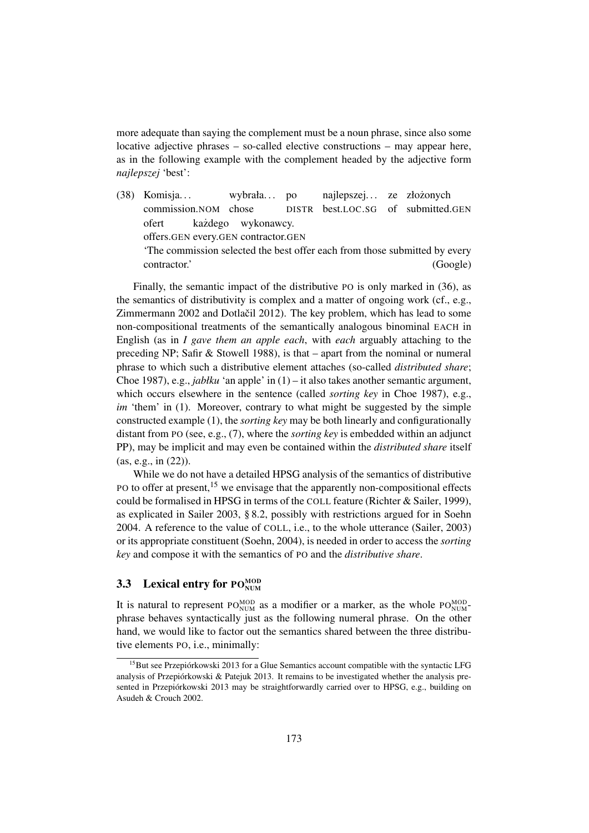more adequate than saying the complement must be a noun phrase, since also some locative adjective phrases – so-called elective constructions – may appear here, as in the following example with the complement headed by the adjective form *najlepszej* 'best':

(38) Komisja. . . commission.NOM chose wybrała. . . po DISTR best.LOC.SG najlepszej... ze złożonych of submitted.GEN ofert offers.GEN every.GEN contractor.GEN kazdego ˙ wykonawcy.

'The commission selected the best offer each from those submitted by every contractor.' (Google)

Finally, the semantic impact of the distributive PO is only marked in (36), as the semantics of distributivity is complex and a matter of ongoing work (cf., e.g., Zimmermann  $2002$  and Dotlactil  $2012$ ). The key problem, which has lead to some non-compositional treatments of the semantically analogous binominal EACH in English (as in *I gave them an apple each*, with *each* arguably attaching to the preceding NP; Safir & Stowell 1988), is that – apart from the nominal or numeral phrase to which such a distributive element attaches (so-called *distributed share*; Choe 1987), e.g., *jabłku* 'an apple' in (1) – it also takes another semantic argument, which occurs elsewhere in the sentence (called *sorting key* in Choe 1987), e.g., *im* 'them' in (1). Moreover, contrary to what might be suggested by the simple constructed example (1), the *sorting key* may be both linearly and configurationally distant from PO (see, e.g., (7), where the *sorting key* is embedded within an adjunct PP), may be implicit and may even be contained within the *distributed share* itself (as, e.g., in (22)).

While we do not have a detailed HPSG analysis of the semantics of distributive PO to offer at present,<sup>15</sup> we envisage that the apparently non-compositional effects could be formalised in HPSG in terms of the COLL feature (Richter & Sailer, 1999), as explicated in Sailer 2003, § 8.2, possibly with restrictions argued for in Soehn 2004. A reference to the value of COLL, i.e., to the whole utterance (Sailer, 2003) or its appropriate constituent (Soehn, 2004), is needed in order to access the *sorting key* and compose it with the semantics of PO and the *distributive share*.

### **3.3** Lexical entry for  $PO_{NUM}^{MOD}$

It is natural to represent  $PO_{NUM}^{MOD}$  as a modifier or a marker, as the whole  $PO_{NUM}^{MOD}$ phrase behaves syntactically just as the following numeral phrase. On the other hand, we would like to factor out the semantics shared between the three distributive elements PO, i.e., minimally:

 $15$ But see Przepiórkowski 2013 for a Glue Semantics account compatible with the syntactic LFG analysis of Przepiórkowski & Patejuk 2013. It remains to be investigated whether the analysis presented in Przepiórkowski 2013 may be straightforwardly carried over to HPSG, e.g., building on Asudeh & Crouch 2002.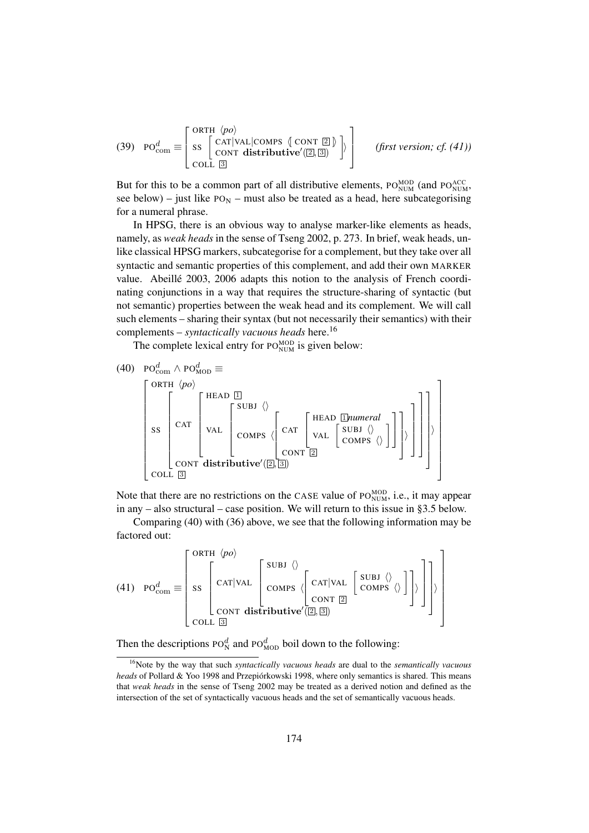(39) 
$$
PO_{com}^d \equiv \begin{bmatrix} ORTH & \langle po \rangle \\ SS & \begin{bmatrix} CAT|VAL|COMPS & \text{CONT } \boxed{2} \\ CONT & \text{distributive}'(\boxed{2}, \boxed{3} \end{bmatrix} \end{bmatrix}
$$
 (first version; cf. (41))  
COLL  $\boxed{3}$ 

But for this to be a common part of all distributive elements,  $PO_{NUM}^{MOD}$  (and  $PO_{NUM}^{ACC}$ ), see below) – just like  $PO_N$  – must also be treated as a head, here subcategorising for a numeral phrase.

In HPSG, there is an obvious way to analyse marker-like elements as heads, namely, as *weak heads* in the sense of Tseng 2002, p. 273. In brief, weak heads, unlike classical HPSG markers, subcategorise for a complement, but they take over all syntactic and semantic properties of this complement, and add their own MARKER value. Abeillé 2003, 2006 adapts this notion to the analysis of French coordinating conjunctions in a way that requires the structure-sharing of syntactic (but not semantic) properties between the weak head and its complement. We will call such elements – sharing their syntax (but not necessarily their semantics) with their complements – *syntactically vacuous heads* here.<sup>16</sup>

The complete lexical entry for  $PO_{NUM}^{MOD}$  is given below:

(40) 
$$
PO_{com}^{d} \wedge PO_{MOD}^{d} \equiv
$$
  
\n
$$
\begin{bmatrix}\nORTH & \langle po \rangle \\
\vdots \\
\begin{bmatrix}\nCRT \\
\vdots \\
\end{bmatrix}\n\end{bmatrix}\n\begin{bmatrix}\nHEAD & \Box \\
\vdots \\
\begin{bmatrix}\nSLB & \langle \rangle \\
\vdots \\
\end{bmatrix}\n\end{bmatrix}\n\begin{bmatrix}\nHEAD & \Box{I}numeral \\
\vdots \\
\begin{bmatrix}\nSLB & \langle \rangle \\
\vdots \\
\end{bmatrix}\n\end{bmatrix}\n\begin{bmatrix}\nRED & \Box{I}numeral \\
\vdots \\
\begin{bmatrix}\nSLB & \langle \rangle \\
\vdots \\
\end{bmatrix}\n\end{bmatrix}\n\begin{bmatrix}\n\vdots \\
\vdots \\
\end{bmatrix}\n\begin{bmatrix}\nSLB & \langle \rangle \\
\vdots \\
\end{bmatrix}\n\begin{bmatrix}\nSLB & \langle \rangle \\
\vdots \\
\end{bmatrix}\n\begin{bmatrix}\n\vdots \\
\vdots \\
\end{bmatrix}\n\end{bmatrix}\n\begin{bmatrix}\n\vdots \\
\vdots \\
\end{bmatrix}\n\begin{bmatrix}\n\vdots \\
\vdots \\
\end{bmatrix}\n\end{bmatrix}
$$

Note that there are no restrictions on the CASE value of  $PO_{NUM}^{MOD}$ , i.e., it may appear in any – also structural – case position. We will return to this issue in §3.5 below.

Comparing (40) with (36) above, we see that the following information may be factored out:

 $(41)$  PO $_{\text{com}}^d \equiv$  $\sqrt{ }$  $\begin{array}{c} \hline \end{array}$ ORTH h*po*i SS  $\sqrt{ }$  CAT|VAL  $\sqrt{ }$  $\begin{array}{c} \hline \end{array}$ SUBJ $\langle \rangle$  $\mathsf{COMPS} \setminus$  $\sqrt{ }$  $\sqrt{\begin{bmatrix} \text{CAT} | \text{VAL} | \text{GMBI} \end{bmatrix}}$  $CONT$   $2$ <sup>1</sup>  $\vert$ 1  $\overline{\phantom{a}}$ CONT distributive' $(2, 3)$ <sup>1</sup>  $\frac{1}{2}$  $\rangle$  $COLL$   $3$ 1 

Then the descriptions  $P\dot{O}_{N}^{d}$  and  $P\dot{O}_{MOD}^{d}$  boil down to the following:

<sup>16</sup>Note by the way that such *syntactically vacuous heads* are dual to the *semantically vacuous heads* of Pollard & Yoo 1998 and Przepiórkowski 1998, where only semantics is shared. This means that *weak heads* in the sense of Tseng 2002 may be treated as a derived notion and defined as the intersection of the set of syntactically vacuous heads and the set of semantically vacuous heads.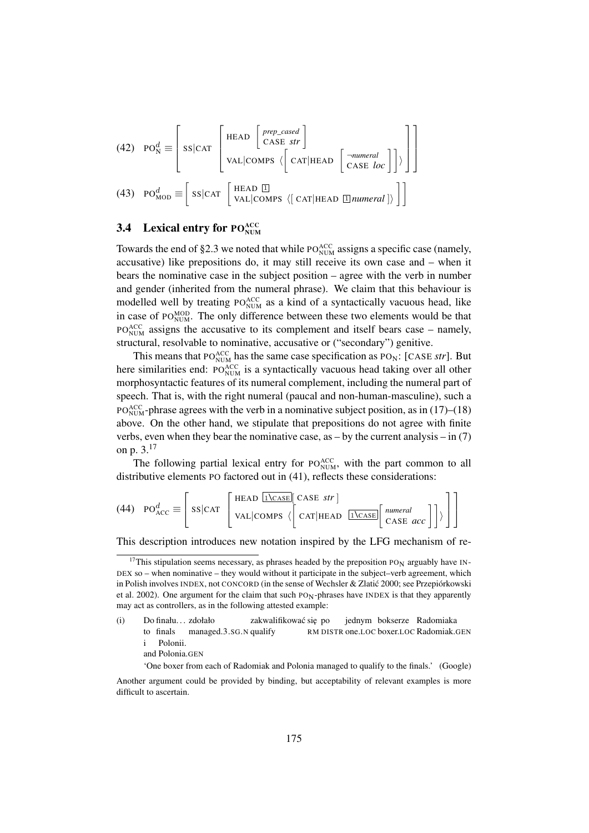(42) PO<sup>d</sup> <sup>N</sup> ≡ SS|CAT HEAD *prep\_cased* CASE *str* VAL|COMPS h CAT|HEAD ¬*numeral* CASE *loc* <sup>i</sup> (43) PO<sup>d</sup> MOD ≡ SS|CAT HEAD 1 VAL|COMPS h[ CAT|HEAD <sup>1</sup> *numeral* ]i 

### **3.4** Lexical entry for  $PO_{NUM}^{ACC}$

Towards the end of §2.3 we noted that while  $PO_{NUM}^{ACC}$  assigns a specific case (namely, accusative) like prepositions do, it may still receive its own case and – when it bears the nominative case in the subject position – agree with the verb in number and gender (inherited from the numeral phrase). We claim that this behaviour is modelled well by treating  $PO_{NUM}^{ACC}$  as a kind of a syntactically vacuous head, like in case of PO<sub>NUM</sub>. The only difference between these two elements would be that  $PO_{NUM}^{ACC}$  assigns the accusative to its complement and itself bears case – namely, structural, resolvable to nominative, accusative or ("secondary") genitive.

This means that PO $_{\text{NUM}}^{\text{ACC}}$  has the same case specification as PO<sub>N</sub>: [CASE *str*]. But here similarities end:  $PO_{NUM}^{ACC}$  is a syntactically vacuous head taking over all other morphosyntactic features of its numeral complement, including the numeral part of speech. That is, with the right numeral (paucal and non-human-masculine), such a  $PO_{NUM}^{ACC}$ -phrase agrees with the verb in a nominative subject position, as in (17)–(18) above. On the other hand, we stipulate that prepositions do not agree with finite verbs, even when they bear the nominative case, as  $-$  by the current analysis  $-$  in (7) on p. 3.<sup>17</sup>

The following partial lexical entry for  $PO_{NUM}^{ACC}$ , with the part common to all distributive elements PO factored out in (41), reflects these considerations:

(44) 
$$
PO_{ACC}^d \equiv \left[ SS|CAT \left[ TJ_{CASE}^H \left( CASE \sin \frac{1}{2} \left( CASE \sin \frac{1}{2} \right) - S \sin \frac{1}{2} \left( CASE \cos \frac{1}{2} \right) \right) \right] \right]
$$

This description introduces new notation inspired by the LFG mechanism of re-

difficult to ascertain.

 $17$ This stipulation seems necessary, as phrases headed by the preposition PO<sub>N</sub> arguably have IN-DEX so – when nominative – they would without it participate in the subject–verb agreement, which in Polish involves INDEX, not CONCORD (in the sense of Wechsler & Zlatic 2000; see Przepiórkowski ´ et al. 2002). One argument for the claim that such  $PON$ -phrases have INDEX is that they apparently may act as controllers, as in the following attested example:

<sup>(</sup>i) Do finału. . . zdołało to finals managed.3.SG.N qualify zakwalifikować się po RM DISTR one.LOC boxer.LOC Radomiak.GEN jednym bokserze Radomiaka i Polonii.

and Polonia.GEN

<sup>&#</sup>x27;One boxer from each of Radomiak and Polonia managed to qualify to the finals.' (Google) Another argument could be provided by binding, but acceptability of relevant examples is more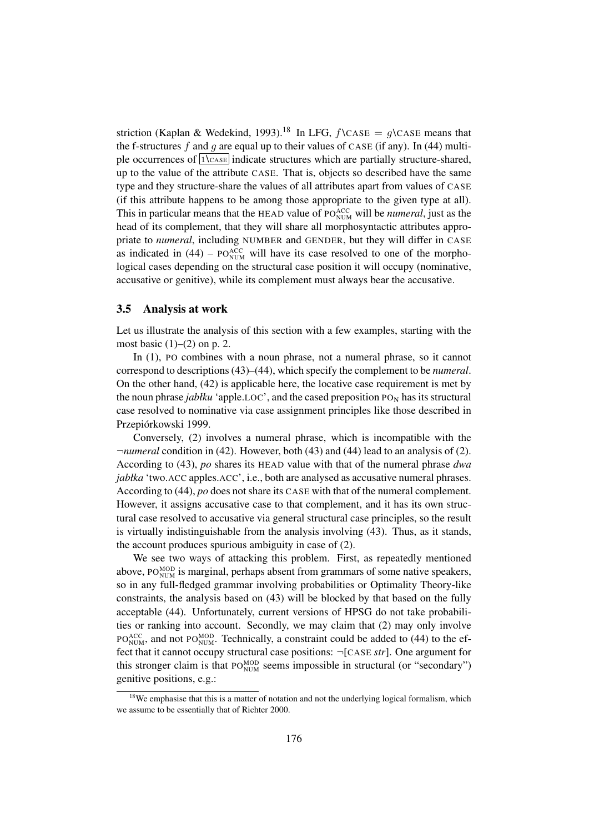striction (Kaplan & Wedekind, 1993).<sup>18</sup> In LFG,  $f \text{CASE} = q \text{CASE}$  means that the f-structures f and g are equal up to their values of CASE (if any). In (44) multiple occurrences of  $\sqrt{1\text{Case}}$  indicate structures which are partially structure-shared, up to the value of the attribute CASE. That is, objects so described have the same type and they structure-share the values of all attributes apart from values of CASE (if this attribute happens to be among those appropriate to the given type at all). This in particular means that the HEAD value of PO<sub>NUM</sub> will be *numeral*, just as the head of its complement, that they will share all morphosyntactic attributes appropriate to *numeral*, including NUMBER and GENDER, but they will differ in CASE as indicated in  $(44)$  – PO<sub>NUM</sub> will have its case resolved to one of the morphological cases depending on the structural case position it will occupy (nominative, accusative or genitive), while its complement must always bear the accusative.

#### 3.5 Analysis at work

Let us illustrate the analysis of this section with a few examples, starting with the most basic  $(1)$ – $(2)$  on p. 2.

In (1), PO combines with a noun phrase, not a numeral phrase, so it cannot correspond to descriptions (43)–(44), which specify the complement to be *numeral*. On the other hand, (42) is applicable here, the locative case requirement is met by the noun phrase *jabłku* 'apple.LOC', and the cased preposition  $P_{N}$  has its structural case resolved to nominative via case assignment principles like those described in Przepiórkowski 1999.

Conversely, (2) involves a numeral phrase, which is incompatible with the ¬*numeral* condition in (42). However, both (43) and (44) lead to an analysis of (2). According to (43), *po* shares its HEAD value with that of the numeral phrase *dwa jabłka* 'two.ACC apples.ACC', i.e., both are analysed as accusative numeral phrases. According to (44), *po* does not share its CASE with that of the numeral complement. However, it assigns accusative case to that complement, and it has its own structural case resolved to accusative via general structural case principles, so the result is virtually indistinguishable from the analysis involving (43). Thus, as it stands, the account produces spurious ambiguity in case of (2).

We see two ways of attacking this problem. First, as repeatedly mentioned above,  $Po_{NUM}^{MOD}$  is marginal, perhaps absent from grammars of some native speakers, so in any full-fledged grammar involving probabilities or Optimality Theory-like constraints, the analysis based on (43) will be blocked by that based on the fully acceptable (44). Unfortunately, current versions of HPSG do not take probabilities or ranking into account. Secondly, we may claim that (2) may only involve  $PO_{NUM}^{ACC}$ , and not  $PO_{NUM}^{MOD}$ . Technically, a constraint could be added to (44) to the effect that it cannot occupy structural case positions: ¬[CASE *str*]. One argument for this stronger claim is that  $PO_{NUM}^{MOD}$  seems impossible in structural (or "secondary") genitive positions, e.g.:

 $18$ We emphasise that this is a matter of notation and not the underlying logical formalism, which we assume to be essentially that of Richter 2000.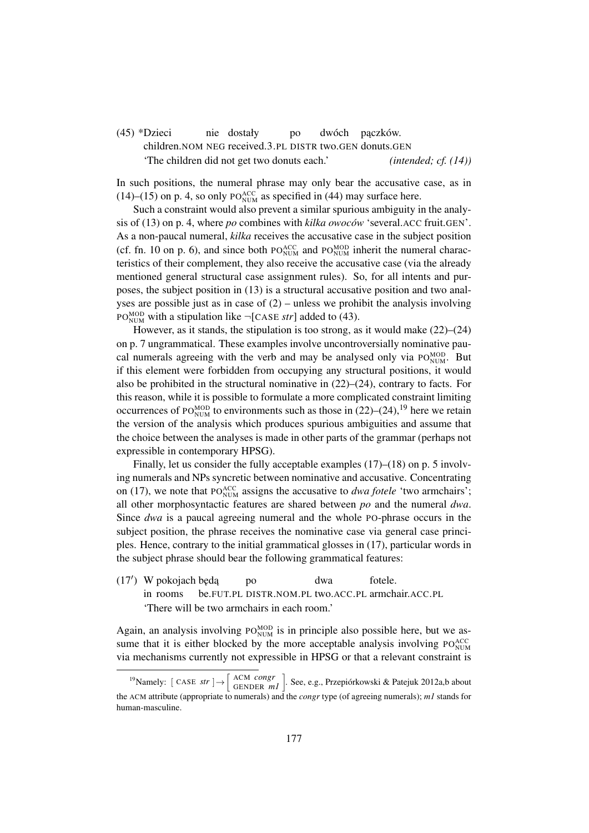#### (45) \*Dzieci children. NOM NEG received. 3. PL DISTR two. GEN donuts. GEN nie dostały po dwóch pączków. 'The children did not get two donuts each.' *(intended; cf. (14))*

In such positions, the numeral phrase may only bear the accusative case, as in  $(14)$ – $(15)$  on p. 4, so only PO<sub>NUM</sub> as specified in (44) may surface here.

Such a constraint would also prevent a similar spurious ambiguity in the analysis of (13) on p. 4, where *po* combines with *kilka owoców* 'several.ACC fruit.GEN'. As a non-paucal numeral, *kilka* receives the accusative case in the subject position (cf. fn. 10 on p. 6), and since both  $PO_{NUM}^{ACC}$  and  $PO_{NUM}^{MOD}$  inherit the numeral characteristics of their complement, they also receive the accusative case (via the already mentioned general structural case assignment rules). So, for all intents and purposes, the subject position in (13) is a structural accusative position and two analyses are possible just as in case of  $(2)$  – unless we prohibit the analysis involving PO<sub>NUM</sub> with a stipulation like  $\neg$ [CASE *str*] added to (43).

However, as it stands, the stipulation is too strong, as it would make (22)–(24) on p. 7 ungrammatical. These examples involve uncontroversially nominative paucal numerals agreeing with the verb and may be analysed only via  $PO_{NUM}^{MOD}$ . But if this element were forbidden from occupying any structural positions, it would also be prohibited in the structural nominative in (22)–(24), contrary to facts. For this reason, while it is possible to formulate a more complicated constraint limiting occurrences of PO $_{\text{NUM}}^{\text{MOD}}$  to environments such as those in (22)–(24),<sup>19</sup> here we retain the version of the analysis which produces spurious ambiguities and assume that the choice between the analyses is made in other parts of the grammar (perhaps not expressible in contemporary HPSG).

Finally, let us consider the fully acceptable examples (17)–(18) on p. 5 involving numerals and NPs syncretic between nominative and accusative. Concentrating on (17), we note that PO $_{\text{NUM}}^{\text{ACC}}$  assigns the accusative to *dwa fotele* 'two armchairs'; all other morphosyntactic features are shared between *po* and the numeral *dwa*. Since *dwa* is a paucal agreeing numeral and the whole PO-phrase occurs in the subject position, the phrase receives the nominative case via general case principles. Hence, contrary to the initial grammatical glosses in (17), particular words in the subject phrase should bear the following grammatical features:

 $(17')$  W pokojach będą in rooms be.FUT.PL DISTR.NOM.PL two.ACC.PL armchair.ACC.PL po dwa fotele. 'There will be two armchairs in each room.'

Again, an analysis involving  $PO_{NUM}^{MOD}$  is in principle also possible here, but we assume that it is either blocked by the more acceptable analysis involving  $PO_{NUM}^{ACC}$ via mechanisms currently not expressible in HPSG or that a relevant constraint is

<sup>&</sup>lt;sup>19</sup>Namely:  $[$  CASE *str*  $] \rightarrow \left[$  ACM *congr*  $]$ . See, e.g., Przepiórkowski & Patejuk 2012a,b about the ACM attribute (appropriate to numerals) and the *congr* type (of agreeing numerals); *m1* stands for human-masculine.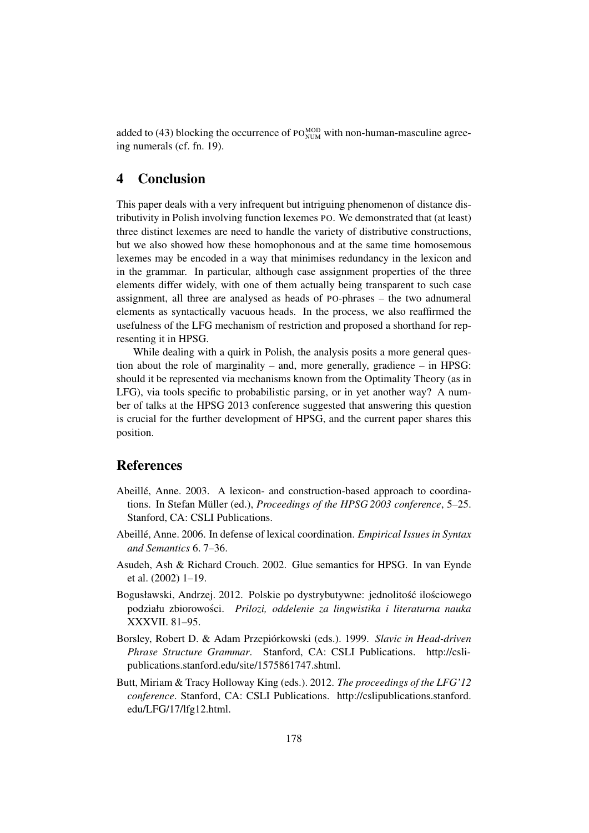added to (43) blocking the occurrence of  $PO_{NUM}^{MOD}$  with non-human-masculine agreeing numerals (cf. fn. 19).

### 4 Conclusion

This paper deals with a very infrequent but intriguing phenomenon of distance distributivity in Polish involving function lexemes PO. We demonstrated that (at least) three distinct lexemes are need to handle the variety of distributive constructions, but we also showed how these homophonous and at the same time homosemous lexemes may be encoded in a way that minimises redundancy in the lexicon and in the grammar. In particular, although case assignment properties of the three elements differ widely, with one of them actually being transparent to such case assignment, all three are analysed as heads of PO-phrases – the two adnumeral elements as syntactically vacuous heads. In the process, we also reaffirmed the usefulness of the LFG mechanism of restriction and proposed a shorthand for representing it in HPSG.

While dealing with a quirk in Polish, the analysis posits a more general question about the role of marginality – and, more generally, gradience – in HPSG: should it be represented via mechanisms known from the Optimality Theory (as in LFG), via tools specific to probabilistic parsing, or in yet another way? A number of talks at the HPSG 2013 conference suggested that answering this question is crucial for the further development of HPSG, and the current paper shares this position.

### References

- Abeillé, Anne. 2003. A lexicon- and construction-based approach to coordinations. In Stefan Müller (ed.), *Proceedings of the HPSG 2003 conference*, 5–25. Stanford, CA: CSLI Publications.
- Abeillé, Anne. 2006. In defense of lexical coordination. *Empirical Issues in Syntax and Semantics* 6. 7–36.
- Asudeh, Ash & Richard Crouch. 2002. Glue semantics for HPSG. In van Eynde et al. (2002) 1–19.
- Bogusławski, Andrzej. 2012. Polskie po dystrybutywne: jednolitość ilościowego podziału zbiorowosci. ´ *Prilozi, oddelenie za lingwistika i literaturna nauka* XXXVII. 81–95.
- Borsley, Robert D. & Adam Przepiórkowski (eds.). 1999. *Slavic in Head-driven Phrase Structure Grammar*. Stanford, CA: CSLI Publications. http://cslipublications.stanford.edu/site/1575861747.shtml.
- Butt, Miriam & Tracy Holloway King (eds.). 2012. *The proceedings of the LFG'12 conference*. Stanford, CA: CSLI Publications. http://cslipublications.stanford. edu/LFG/17/lfg12.html.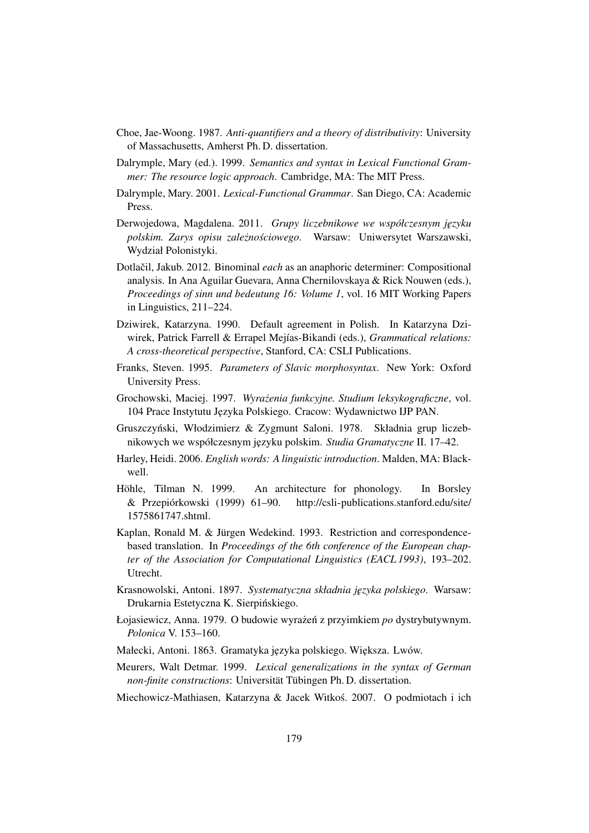- Choe, Jae-Woong. 1987. *Anti-quantifiers and a theory of distributivity*: University of Massachusetts, Amherst Ph. D. dissertation.
- Dalrymple, Mary (ed.). 1999. *Semantics and syntax in Lexical Functional Grammer: The resource logic approach*. Cambridge, MA: The MIT Press.
- Dalrymple, Mary. 2001. *Lexical-Functional Grammar*. San Diego, CA: Academic Press.
- Derwojedowa, Magdalena. 2011. *Grupy liczebnikowe we współczesnym języku polskim. Zarys opisu zalezno ˙ sciowego ´* . Warsaw: Uniwersytet Warszawski, Wydział Polonistyki.
- Dotlačil, Jakub. 2012. Binominal *each* as an anaphoric determiner: Compositional analysis. In Ana Aguilar Guevara, Anna Chernilovskaya & Rick Nouwen (eds.), *Proceedings of sinn und bedeutung 16: Volume 1*, vol. 16 MIT Working Papers in Linguistics, 211–224.
- Dziwirek, Katarzyna. 1990. Default agreement in Polish. In Katarzyna Dziwirek, Patrick Farrell & Errapel Mejías-Bikandi (eds.), *Grammatical relations: A cross-theoretical perspective*, Stanford, CA: CSLI Publications.
- Franks, Steven. 1995. *Parameters of Slavic morphosyntax*. New York: Oxford University Press.
- Grochowski, Maciej. 1997. *Wyrazenia funkcyjne. Studium leksykograficzne ˙* , vol. 104 Prace Instytutu J˛ezyka Polskiego. Cracow: Wydawnictwo IJP PAN.
- Gruszczyński, Włodzimierz & Zygmunt Saloni. 1978. Składnia grup liczebnikowych we współczesnym języku polskim. *Studia Gramatyczne* II. 17–42.
- Harley, Heidi. 2006. *English words: A linguistic introduction*. Malden, MA: Blackwell.
- Höhle, Tilman N. 1999. An architecture for phonology. In Borsley & Przepiórkowski (1999) 61–90. http://csli-publications.stanford.edu/site/ 1575861747.shtml.
- Kaplan, Ronald M. & Jürgen Wedekind. 1993. Restriction and correspondencebased translation. In *Proceedings of the 6th conference of the European chapter of the Association for Computational Linguistics (EACL 1993)*, 193–202. Utrecht.
- Krasnowolski, Antoni. 1897. *Systematyczna składnia j˛ezyka polskiego*. Warsaw: Drukarnia Estetyczna K. Sierpińskiego.
- Łojasiewicz, Anna. 1979. O budowie wyrażeń z przyimkiem *po* dystrybutywnym. *Polonica* V. 153–160.
- Małecki, Antoni. 1863. Gramatyka języka polskiego. Większa. Lwów.
- Meurers, Walt Detmar. 1999. *Lexical generalizations in the syntax of German non-finite constructions*: Universität Tübingen Ph. D. dissertation.
- Miechowicz-Mathiasen, Katarzyna & Jacek Witkos. 2007. O podmiotach i ich ´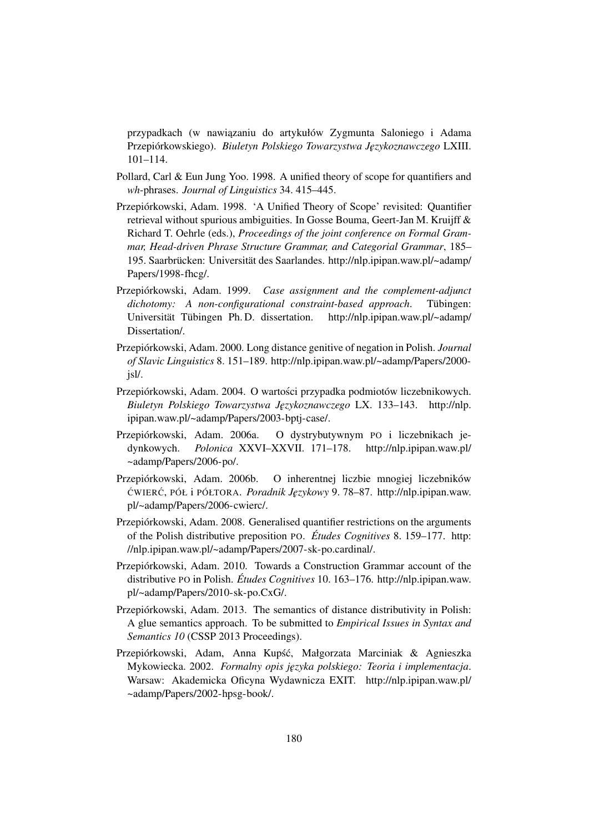przypadkach (w nawiązaniu do artykułów Zygmunta Saloniego i Adama Przepiórkowskiego). *Biuletyn Polskiego Towarzystwa J˛ezykoznawczego* LXIII. 101–114.

- Pollard, Carl & Eun Jung Yoo. 1998. A unified theory of scope for quantifiers and *wh*-phrases. *Journal of Linguistics* 34. 415–445.
- Przepiórkowski, Adam. 1998. 'A Unified Theory of Scope' revisited: Quantifier retrieval without spurious ambiguities. In Gosse Bouma, Geert-Jan M. Kruijff & Richard T. Oehrle (eds.), *Proceedings of the joint conference on Formal Grammar, Head-driven Phrase Structure Grammar, and Categorial Grammar*, 185– 195. Saarbrücken: Universität des Saarlandes. http://nlp.ipipan.waw.pl/~adamp/ Papers/1998-fhcg/.
- Przepiórkowski, Adam. 1999. *Case assignment and the complement-adjunct dichotomy: A non-configurational constraint-based approach*. Tübingen: Universität Tübingen Ph. D. dissertation. http://nlp.ipipan.waw.pl/~adamp/ Dissertation/.
- Przepiórkowski, Adam. 2000. Long distance genitive of negation in Polish. *Journal of Slavic Linguistics* 8. 151–189. http://nlp.ipipan.waw.pl/~adamp/Papers/2000 jsl/.
- Przepiórkowski, Adam. 2004. O wartosci przypadka podmiotów liczebnikowych. ´ *Biuletyn Polskiego Towarzystwa J˛ezykoznawczego* LX. 133–143. http://nlp. ipipan.waw.pl/~adamp/Papers/2003-bptj-case/.
- Przepiórkowski, Adam. 2006a. O dystrybutywnym PO i liczebnikach jedynkowych. *Polonica* XXVI–XXVII. 171–178. http://nlp.ipipan.waw.pl/ ~adamp/Papers/2006-po/.
- Przepiórkowski, Adam. 2006b. O inherentnej liczbie mnogiej liczebników CWIER ´ C´ , PÓŁ i PÓŁTORA. *Poradnik J˛ezykowy* 9. 78–87. http://nlp.ipipan.waw. pl/~adamp/Papers/2006-cwierc/.
- Przepiórkowski, Adam. 2008. Generalised quantifier restrictions on the arguments of the Polish distributive preposition PO. *Études Cognitives* 8. 159–177. http: //nlp.ipipan.waw.pl/~adamp/Papers/2007-sk-po.cardinal/.
- Przepiórkowski, Adam. 2010. Towards a Construction Grammar account of the distributive PO in Polish. *Études Cognitives* 10. 163–176. http://nlp.ipipan.waw. pl/~adamp/Papers/2010-sk-po.CxG/.
- Przepiórkowski, Adam. 2013. The semantics of distance distributivity in Polish: A glue semantics approach. To be submitted to *Empirical Issues in Syntax and Semantics 10* (CSSP 2013 Proceedings).
- Przepiórkowski, Adam, Anna Kupść, Małgorzata Marciniak & Agnieszka Mykowiecka. 2002. *Formalny opis j˛ezyka polskiego: Teoria i implementacja*. Warsaw: Akademicka Oficyna Wydawnicza EXIT. http://nlp.ipipan.waw.pl/ ~adamp/Papers/2002-hpsg-book/.